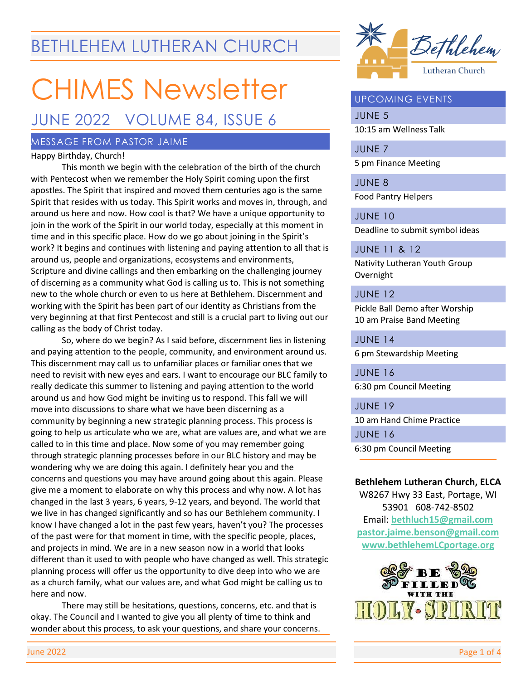## BETHLEHEM LUTHERAN CHURCH

# CHIMES Newsletter

### JUNE 2022 VOLUME 84, ISSUE 6

#### MESSAGE FROM PASTOR JAIME

#### Happy Birthday, Church!

This month we begin with the celebration of the birth of the church with Pentecost when we remember the Holy Spirit coming upon the first apostles. The Spirit that inspired and moved them centuries ago is the same Spirit that resides with us today. This Spirit works and moves in, through, and around us here and now. How cool is that? We have a unique opportunity to join in the work of the Spirit in our world today, especially at this moment in time and in this specific place. How do we go about joining in the Spirit's work? It begins and continues with listening and paying attention to all that is around us, people and organizations, ecosystems and environments, Scripture and divine callings and then embarking on the challenging journey of discerning as a community what God is calling us to. This is not something new to the whole church or even to us here at Bethlehem. Discernment and working with the Spirit has been part of our identity as Christians from the very beginning at that first Pentecost and still is a crucial part to living out our calling as the body of Christ today.

So, where do we begin? As I said before, discernment lies in listening and paying attention to the people, community, and environment around us. This discernment may call us to unfamiliar places or familiar ones that we need to revisit with new eyes and ears. I want to encourage our BLC family to really dedicate this summer to listening and paying attention to the world around us and how God might be inviting us to respond. This fall we will move into discussions to share what we have been discerning as a community by beginning a new strategic planning process. This process is going to help us articulate who we are, what are values are, and what we are called to in this time and place. Now some of you may remember going through strategic planning processes before in our BLC history and may be wondering why we are doing this again. I definitely hear you and the concerns and questions you may have around going about this again. Please give me a moment to elaborate on why this process and why now. A lot has changed in the last 3 years, 6 years, 9-12 years, and beyond. The world that we live in has changed significantly and so has our Bethlehem community. I know I have changed a lot in the past few years, haven't you? The processes of the past were for that moment in time, with the specific people, places, and projects in mind. We are in a new season now in a world that looks different than it used to with people who have changed as well. This strategic planning process will offer us the opportunity to dive deep into who we are as a church family, what our values are, and what God might be calling us to here and now.

There may still be hesitations, questions, concerns, etc. and that is okay. The Council and I wanted to give you all plenty of time to think and wonder about this process, to ask your questions, and share your concerns.



#### UPCOMING EVENTS

JUNE 5 10:15 am Wellness Talk

JUNE 7 5 pm Finance Meeting

JUNE 8 Food Pantry Helpers

JUNE 10

Deadline to submit symbol ideas

#### JUNE 11 & 12

Nativity Lutheran Youth Group Overnight

#### JUNE 12

Pickle Ball Demo after Worship 10 am Praise Band Meeting

JUNE 14

6 pm Stewardship Meeting

JUNE 16 6:30 pm Council Meeting

JUNE 19

10 am Hand Chime Practice JUNE 16 6:30 pm Council Meeting

#### **Bethlehem Lutheran Church, ELCA**

W8267 Hwy 33 East, Portage, WI 53901 608-742-8502 Email: **[bethluch15@gmail.com](mailto:bethluch15@gmail.com) pastor.jaime.benson@gmail.com [www.bethlehemLCportage.org](http://www.bethlehemlcportage.org/)**

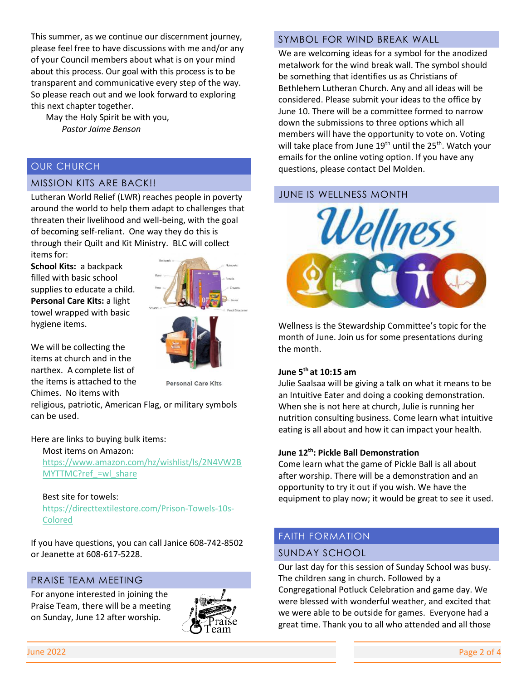This summer, as we continue our discernment journey, please feel free to have discussions with me and/or any of your Council members about what is on your mind about this process. Our goal with this process is to be transparent and communicative every step of the way. So please reach out and we look forward to exploring this next chapter together.

 May the Holy Spirit be with you, *Pastor Jaime Benson*

#### OUR CHURCH

#### MISSION KITS ARE BACK!!

Lutheran World Relief (LWR) reaches people in poverty around the world to help them adapt to challenges that threaten their livelihood and well-being, with the goal of becoming self-reliant. One way they do this is through their Quilt and Kit Ministry. BLC will collect items for:

**School Kits:** a backpack filled with basic school supplies to educate a child. **Personal Care Kits:** a light towel wrapped with basic hygiene items.



We will be collecting the items at church and in the narthex. A complete list of the items is attached to the Chimes. No items with

**Personal Care Kits** 

religious, patriotic, American Flag, or military symbols can be used.

Here are links to buying bulk items:

Most items on Amazon: [https://www.amazon.com/hz/wishlist/ls/2N4VW2B](https://www.amazon.com/hz/wishlist/ls/2N4VW2BMYTTMC?ref_=wl_share) MYTTMC?ref =wl\_share

#### Best site for towels:

[https://directtextilestore.com/Prison-Towels-10s-](https://directtextilestore.com/Prison-Towels-10s-Colored)[Colored](https://directtextilestore.com/Prison-Towels-10s-Colored)

If you have questions, you can call Janice 608-742-8502 or Jeanette at 608-617-5228.

#### PRAISE TEAM MEETING

For anyone interested in joining the Praise Team, there will be a meeting on Sunday, June 12 after worship.



#### SYMBOL FOR WIND BREAK WALL

We are welcoming ideas for a symbol for the anodized metalwork for the wind break wall. The symbol should be something that identifies us as Christians of Bethlehem Lutheran Church. Any and all ideas will be considered. Please submit your ideas to the office by June 10. There will be a committee formed to narrow down the submissions to three options which all members will have the opportunity to vote on. Voting will take place from June 19<sup>th</sup> until the 25<sup>th</sup>. Watch your emails for the online voting option. If you have any questions, please contact Del Molden.

#### JUNE IS WELLNESS MONTH



Wellness is the Stewardship Committee's topic for the month of June. Join us for some presentations during the month.

#### **June 5th at 10:15 am**

Julie Saalsaa will be giving a talk on what it means to be an Intuitive Eater and doing a cooking demonstration. When she is not here at church, Julie is running her nutrition consulting business. Come learn what intuitive eating is all about and how it can impact your health.

#### **June 12th: Pickle Ball Demonstration**

Come learn what the game of Pickle Ball is all about after worship. There will be a demonstration and an opportunity to try it out if you wish. We have the equipment to play now; it would be great to see it used.

#### FAITH FORMATION

#### SUNDAY SCHOOL

Our last day for this session of Sunday School was busy. The children sang in church. Followed by a Congregational Potluck Celebration and game day. We were blessed with wonderful weather, and excited that we were able to be outside for games. Everyone had a great time. Thank you to all who attended and all those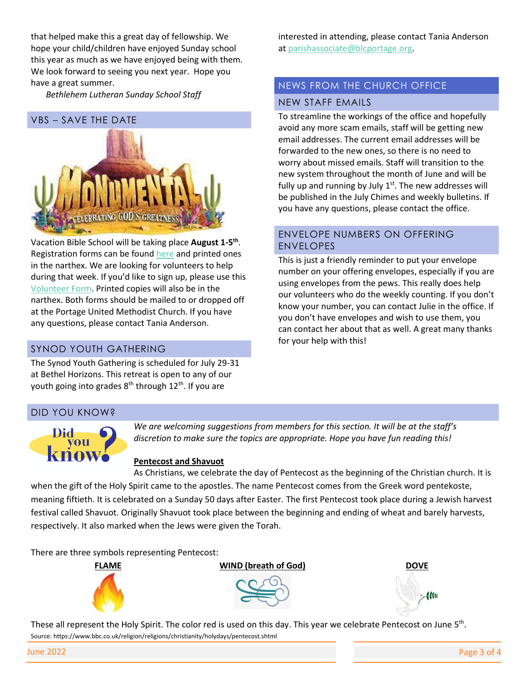that helped make this a great day of fellowship. We hope your child/children have enjoyed Sunday school this year as much as we have enjoyed being with them. We look forward to seeing you next year. Hope you have a great summer.

 *Bethlehem Lutheran Sunday School Staff*

# VBS – SAVE THE DATE **GOD'S GREATNESS**

Vacation Bible School will be taking place **August 1-5<sup>th</sup>**. Registration forms can be found [here](https://docs.google.com/document/d/1fS5ufl06SmES06EQJa-n5Hhn_5rPakvHL1sakU_zn-M/edit?usp=sharing) and printed ones in the narthex. We are looking for volunteers to help during that week. If you'd like to sign up, please use this [Volunteer Form.](https://docs.google.com/document/d/1x72PKbflLBUUncjOmEv_x-fGpANmuJt1GfP2PGUxlxY/edit?usp=sharing) Printed copies will also be in the narthex. Both forms should be mailed to or dropped off at the Portage United Methodist Church. If you have any questions, please contact Tania Anderson.

#### SYNOD YOUTH GATHERING

The Synod Youth Gathering is scheduled for July 29-31 at Bethel Horizons. This retreat is open to any of our youth going into grades 8<sup>th</sup> through 12<sup>th</sup>. If you are

interested in attending, please contact Tania Anderson a[t parishassociate@blcportage.org.](mailto:parishassociate@blcportage.org)

#### NEWS FROM THE CHURCH OFFICE NEW STAFF EMAILS

To streamline the workings of the office and hopefully avoid any more scam emails, staff will be getting new email addresses. The current email addresses will be forwarded to the new ones, so there is no need to worry about missed emails. Staff will transition to the new system throughout the month of June and will be fully up and running by July  $1<sup>st</sup>$ . The new addresses will be published in the July Chimes and weekly bulletins. If you have any questions, please contact the office.

#### ENVELOPE NUMBERS ON OFFERING ENVELOPES

This is just a friendly reminder to put your envelope number on your offering envelopes, especially if you are using envelopes from the pews. This really does help our volunteers who do the weekly counting. If you don't know your number, you can contact Julie in the office. If you don't have envelopes and wish to use them, you can contact her about that as well. A great many thanks for your help with this!

#### DID YOU KNOW?



*We are welcoming suggestions from members for this section. It will be at the staff's discretion to make sure the topics are appropriate. Hope you have fun reading this!* 

#### **Pentecost and Shavuot**

As Christians, we celebrate the day of Pentecost as the beginning of the Christian church. It is when the gift of the Holy Spirit came to the apostles. The name Pentecost comes from the Greek word pentekoste, meaning fiftieth. It is celebrated on a Sunday 50 days after Easter. The first Pentecost took place during a Jewish harvest festival called Shavuot. Originally Shavuot took place between the beginning and ending of wheat and barely harvests, respectively. It also marked when the Jews were given the Torah.

There are three symbols representing Pentecost:







These all represent the Holy Spirit. The color red is used on this day. This year we celebrate Pentecost on June 5<sup>th</sup>. Source: https://www.bbc.co.uk/religion/religions/christianity/holydays/pentecost.shtml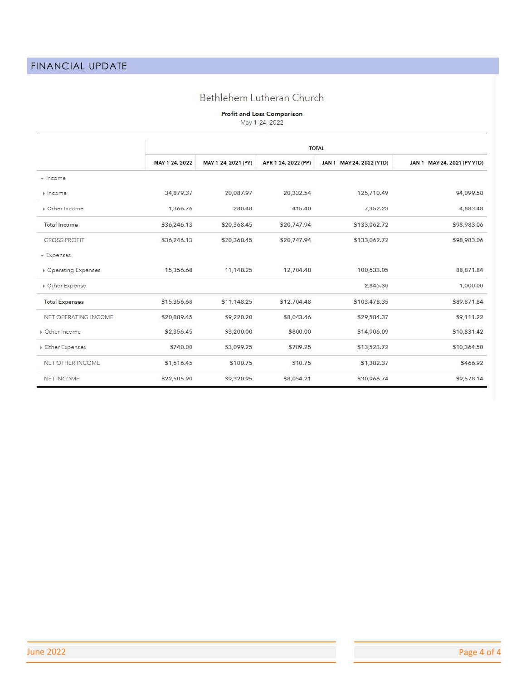#### Bethlehem Lutheran Church

**Profit and Loss Comparison**<br>May 1-24, 2022

| $Ndy$ $-24, 2022$ |  |  |  |
|-------------------|--|--|--|
|                   |  |  |  |

|                                   | <b>TOTAL</b>   |                     |                     |                            |                               |  |  |
|-----------------------------------|----------------|---------------------|---------------------|----------------------------|-------------------------------|--|--|
|                                   | MAY 1-24, 2022 | MAY 1-24, 2021 (PY) | APR 1-24, 2022 (PP) | JAN 1 - MAY 24, 2022 (YTD) | JAN 1 - MAY 24, 2021 (PY YTD) |  |  |
| $\sqrt{ }$ Income                 |                |                     |                     |                            |                               |  |  |
| » Income                          | 34,879.37      | 20,087.97           | 20,332.54           | 125,710.49                 | 94,099.58                     |  |  |
| Dther Income                      | 1,366.76       | 280.48              | 415.40              | 7,352.23                   | 4,883.48                      |  |  |
| <b>Total Income</b>               | \$36,246.13    | \$20,368.45         | \$20,747.94         | \$133,062.72               | \$98,983.06                   |  |  |
| <b>GROSS PROFIT</b>               | \$36,246.13    | \$20,368.45         | \$20,747.94         | \$133,062.72               | \$98,983.06                   |  |  |
| $\overline{\phantom{a}}$ Expenses |                |                     |                     |                            |                               |  |  |
| <b>Dperating Expenses</b>         | 15,356.68      | 11,148.25           | 12,704.48           | 100,633.05                 | 88,871.84                     |  |  |
| Other Expense                     |                |                     |                     | 2,845.30                   | 1,000.00                      |  |  |
| <b>Total Expenses</b>             | \$15,356.68    | \$11,148.25         | \$12,704.48         | \$103,478.35               | \$89,871.84                   |  |  |
| NET OPERATING INCOME              | \$20,889.45    | \$9,220.20          | \$8,043.46          | \$29,584.37                | \$9,111.22                    |  |  |
| Dther Income                      | \$2,356.45     | \$3,200.00          | \$800.00            | \$14,906.09                | \$10,831.42                   |  |  |
| Dther Expenses                    | \$740.00       | \$3,099.25          | \$789.25            | \$13,523.72                | \$10,364.50                   |  |  |
| NET OTHER INCOME                  | \$1,616.45     | \$100.75            | \$10.75             | \$1,382.37                 | \$466.92                      |  |  |
| <b>NET INCOME</b>                 | \$22,505.90    | \$9,320.95          | \$8,054.21          | \$30,966.74                | \$9,578.14                    |  |  |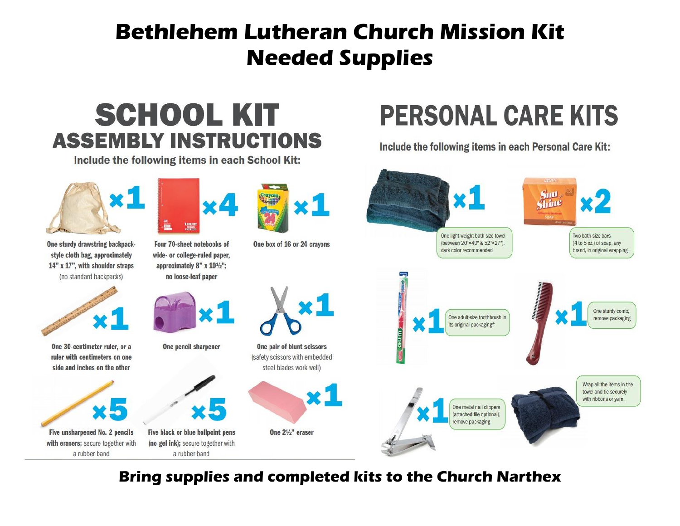## **Bethlehem Lutheran Church Mission Kit Needed Supplies**

## **SCHOOL KIT ASSEMBLY INSTRUCTIONS**

Include the following items in each School Kit:

## **PERSONAL CARE KITS**

Include the following items in each Personal Care Kit:



**Bring supplies and completed kits to the Church Narthex**